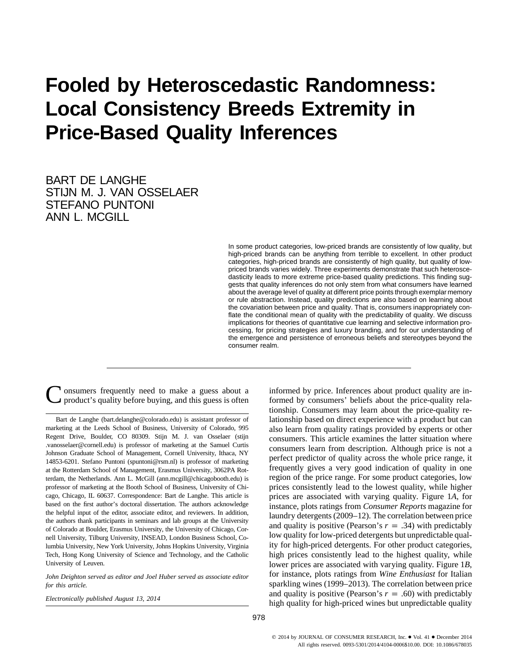# **Fooled by Heteroscedastic Randomness: Local Consistency Breeds Extremity in Price-Based Quality Inferences**

BART DE LANGHE STIJN M. J. VAN OSSELAER STEFANO PUNTONI ANN L. MCGILL

> In some product categories, low-priced brands are consistently of low quality, but high-priced brands can be anything from terrible to excellent. In other product categories, high-priced brands are consistently of high quality, but quality of lowpriced brands varies widely. Three experiments demonstrate that such heteroscedasticity leads to more extreme price-based quality predictions. This finding suggests that quality inferences do not only stem from what consumers have learned about the average level of quality at different price points through exemplar memory or rule abstraction. Instead, quality predictions are also based on learning about the covariation between price and quality. That is, consumers inappropriately conflate the conditional mean of quality with the predictability of quality. We discuss implications for theories of quantitative cue learning and selective information processing, for pricing strategies and luxury branding, and for our understanding of the emergence and persistence of erroneous beliefs and stereotypes beyond the consumer realm.

onsumers frequently need to make a guess about a product's quality before buying, and this guess is often

Bart de Langhe [\(bart.delanghe@colorado.edu\)](mailto:bart.delanghe@colorado.edu) is assistant professor of marketing at the Leeds School of Business, University of Colorado, 995 Regent Drive, Boulder, CO 80309. Stijn M. J. van Osselaer [\(stijn](mailto:stijn.vanosselaer@cornell.edu) [.vanosselaer@cornell.edu\)](mailto:stijn.vanosselaer@cornell.edu) is professor of marketing at the Samuel Curtis Johnson Graduate School of Management, Cornell University, Ithaca, NY 14853-6201. Stefano Puntoni [\(spuntoni@rsm.nl\)](mailto:spuntoni@rsm.nl) is professor of marketing at the Rotterdam School of Management, Erasmus University, 3062PA Rotterdam, the Netherlands. Ann L. McGill [\(ann.mcgill@chicagobooth.edu\)](mailto:ann.mcgill@chicagobooth.edu) is professor of marketing at the Booth School of Business, University of Chicago, Chicago, IL 60637. Correspondence: Bart de Langhe. This article is based on the first author's doctoral dissertation. The authors acknowledge the helpful input of the editor, associate editor, and reviewers. In addition, the authors thank participants in seminars and lab groups at the University of Colorado at Boulder, Erasmus University, the University of Chicago, Cornell University, Tilburg University, INSEAD, London Business School, Columbia University, New York University, Johns Hopkins University, Virginia Tech, Hong Kong University of Science and Technology, and the Catholic University of Leuven.

*John Deighton served as editor and Joel Huber served as associate editor for this article.*

*Electronically published August 13, 2014*

informed by price. Inferences about product quality are informed by consumers' beliefs about the price-quality relationship. Consumers may learn about the price-quality relationship based on direct experience with a product but can also learn from quality ratings provided by experts or other consumers. This article examines the latter situation where consumers learn from description. Although price is not a perfect predictor of quality across the whole price range, it frequently gives a very good indication of quality in one region of the price range. For some product categories, low prices consistently lead to the lowest quality, while higher prices are associated with varying quality. Figure 1*A*, for instance, plots ratings from *Consumer Reports* magazine for laundry detergents (2009–12). The correlation between price and quality is positive (Pearson's  $r = .34$ ) with predictably low quality for low-priced detergents but unpredictable quality for high-priced detergents. For other product categories, high prices consistently lead to the highest quality, while lower prices are associated with varying quality. Figure 1*B*, for instance, plots ratings from *Wine Enthusiast* for Italian sparkling wines (1999–2013). The correlation between price and quality is positive (Pearson's  $r = .60$ ) with predictably high quality for high-priced wines but unpredictable quality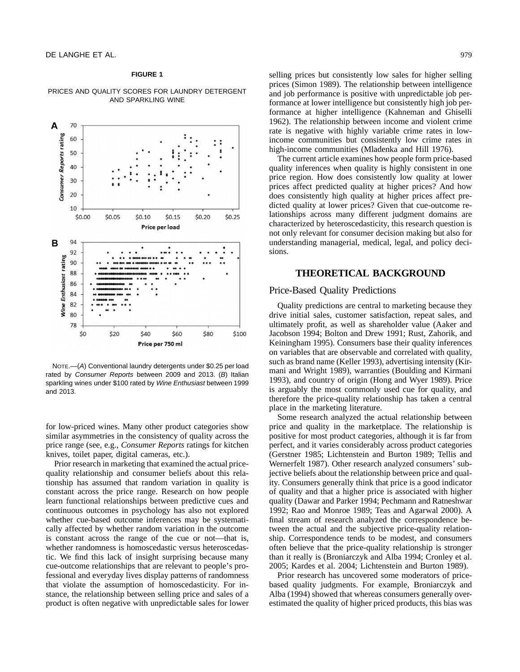#### **FIGURE 1**

PRICES AND QUALITY SCORES FOR LAUNDRY DETERGENT AND SPARKLING WINE



NOTE.—(*A*) Conventional laundry detergents under \$0.25 per load rated by *Consumer Reports* between 2009 and 2013. (*B*) Italian sparkling wines under \$100 rated by *Wine Enthusiast* between 1999 and 2013.

for low-priced wines. Many other product categories show similar asymmetries in the consistency of quality across the price range (see, e.g., *Consumer Reports* ratings for kitchen knives, toilet paper, digital cameras, etc.).

Prior research in marketing that examined the actual pricequality relationship and consumer beliefs about this relationship has assumed that random variation in quality is constant across the price range. Research on how people learn functional relationships between predictive cues and continuous outcomes in psychology has also not explored whether cue-based outcome inferences may be systematically affected by whether random variation in the outcome is constant across the range of the cue or not—that is, whether randomness is homoscedastic versus heteroscedastic. We find this lack of insight surprising because many cue-outcome relationships that are relevant to people's professional and everyday lives display patterns of randomness that violate the assumption of homoscedasticity. For instance, the relationship between selling price and sales of a product is often negative with unpredictable sales for lower

selling prices but consistently low sales for higher selling prices (Simon 1989). The relationship between intelligence and job performance is positive with unpredictable job performance at lower intelligence but consistently high job performance at higher intelligence (Kahneman and Ghiselli 1962). The relationship between income and violent crime rate is negative with highly variable crime rates in lowincome communities but consistently low crime rates in high-income communities (Mladenka and Hill 1976).

The current article examines how people form price-based quality inferences when quality is highly consistent in one price region. How does consistently low quality at lower prices affect predicted quality at higher prices? And how does consistently high quality at higher prices affect predicted quality at lower prices? Given that cue-outcome relationships across many different judgment domains are characterized by heteroscedasticity, this research question is not only relevant for consumer decision making but also for understanding managerial, medical, legal, and policy decisions.

# **THEORETICAL BACKGROUND**

# Price-Based Quality Predictions

Quality predictions are central to marketing because they drive initial sales, customer satisfaction, repeat sales, and ultimately profit, as well as shareholder value (Aaker and Jacobson 1994; Bolton and Drew 1991; Rust, Zahorik, and Keiningham 1995). Consumers base their quality inferences on variables that are observable and correlated with quality, such as brand name (Keller 1993), advertising intensity (Kirmani and Wright 1989), warranties (Boulding and Kirmani 1993), and country of origin (Hong and Wyer 1989). Price is arguably the most commonly used cue for quality, and therefore the price-quality relationship has taken a central place in the marketing literature.

Some research analyzed the actual relationship between price and quality in the marketplace. The relationship is positive for most product categories, although it is far from perfect, and it varies considerably across product categories (Gerstner 1985; Lichtenstein and Burton 1989; Tellis and Wernerfelt 1987). Other research analyzed consumers' subjective beliefs about the relationship between price and quality. Consumers generally think that price is a good indicator of quality and that a higher price is associated with higher quality (Dawar and Parker 1994; Pechmann and Ratneshwar 1992; Rao and Monroe 1989; Teas and Agarwal 2000). A final stream of research analyzed the correspondence between the actual and the subjective price-quality relationship. Correspondence tends to be modest, and consumers often believe that the price-quality relationship is stronger than it really is (Broniarczyk and Alba 1994; Cronley et al. 2005; Kardes et al. 2004; Lichtenstein and Burton 1989).

Prior research has uncovered some moderators of pricebased quality judgments. For example, Broniarczyk and Alba (1994) showed that whereas consumers generally overestimated the quality of higher priced products, this bias was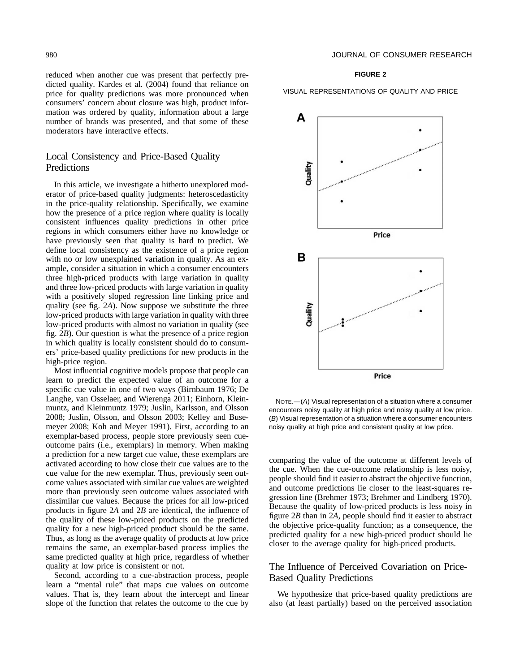reduced when another cue was present that perfectly predicted quality. Kardes et al. (2004) found that reliance on price for quality predictions was more pronounced when consumers' concern about closure was high, product information was ordered by quality, information about a large number of brands was presented, and that some of these moderators have interactive effects.

# Local Consistency and Price-Based Quality **Predictions**

In this article, we investigate a hitherto unexplored moderator of price-based quality judgments: heteroscedasticity in the price-quality relationship. Specifically, we examine how the presence of a price region where quality is locally consistent influences quality predictions in other price regions in which consumers either have no knowledge or have previously seen that quality is hard to predict. We define local consistency as the existence of a price region with no or low unexplained variation in quality. As an example, consider a situation in which a consumer encounters three high-priced products with large variation in quality and three low-priced products with large variation in quality with a positively sloped regression line linking price and quality (see fig. 2*A*). Now suppose we substitute the three low-priced products with large variation in quality with three low-priced products with almost no variation in quality (see fig. 2*B*). Our question is what the presence of a price region in which quality is locally consistent should do to consumers' price-based quality predictions for new products in the high-price region.

Most influential cognitive models propose that people can learn to predict the expected value of an outcome for a specific cue value in one of two ways (Birnbaum 1976; De Langhe, van Osselaer, and Wierenga 2011; Einhorn, Kleinmuntz, and Kleinmuntz 1979; Juslin, Karlsson, and Olsson 2008; Juslin, Olsson, and Olsson 2003; Kelley and Busemeyer 2008; Koh and Meyer 1991). First, according to an exemplar-based process, people store previously seen cueoutcome pairs (i.e., exemplars) in memory. When making a prediction for a new target cue value, these exemplars are activated according to how close their cue values are to the cue value for the new exemplar. Thus, previously seen outcome values associated with similar cue values are weighted more than previously seen outcome values associated with dissimilar cue values. Because the prices for all low-priced products in figure 2*A* and 2*B* are identical, the influence of the quality of these low-priced products on the predicted quality for a new high-priced product should be the same. Thus, as long as the average quality of products at low price remains the same, an exemplar-based process implies the same predicted quality at high price, regardless of whether quality at low price is consistent or not.

Second, according to a cue-abstraction process, people learn a "mental rule" that maps cue values on outcome values. That is, they learn about the intercept and linear slope of the function that relates the outcome to the cue by

#### **FIGURE 2**

# VISUAL REPRESENTATIONS OF QUALITY AND PRICE



NOTE.—(*A*) Visual representation of a situation where a consumer encounters noisy quality at high price and noisy quality at low price. (*B*) Visual representation of a situation where a consumer encounters noisy quality at high price and consistent quality at low price.

comparing the value of the outcome at different levels of the cue. When the cue-outcome relationship is less noisy, people should find it easier to abstract the objective function, and outcome predictions lie closer to the least-squares regression line (Brehmer 1973; Brehmer and Lindberg 1970). Because the quality of low-priced products is less noisy in figure 2*B* than in 2*A*, people should find it easier to abstract the objective price-quality function; as a consequence, the predicted quality for a new high-priced product should lie closer to the average quality for high-priced products.

# The Influence of Perceived Covariation on Price-Based Quality Predictions

We hypothesize that price-based quality predictions are also (at least partially) based on the perceived association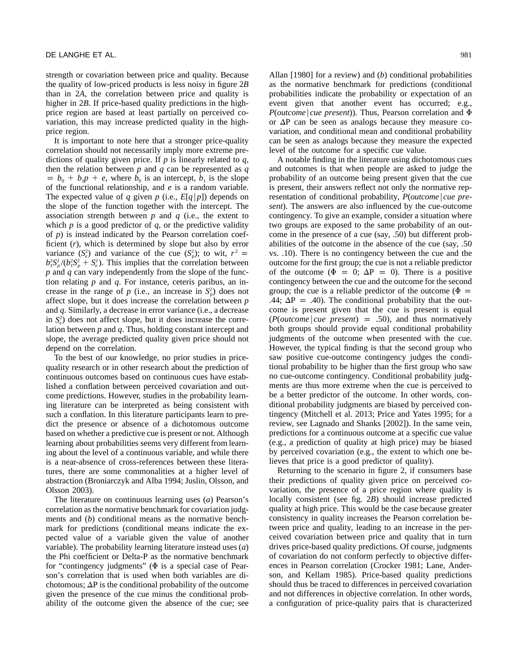strength or covariation between price and quality. Because the quality of low-priced products is less noisy in figure 2*B* than in 2*A*, the correlation between price and quality is higher in 2*B*. If price-based quality predictions in the highprice region are based at least partially on perceived covariation, this may increase predicted quality in the highprice region.

It is important to note here that a stronger price-quality correlation should not necessarily imply more extreme predictions of quality given price. If *p* is linearly related to *q*, then the relation between *p* and *q* can be represented as *q*  $= b_0 + b_1 p + e$ , where  $b_0$  is an intercept,  $b_1$  is the slope of the functional relationship, and *e* is a random variable. The expected value of *q* given *p* (i.e.,  $E[q|p]$ ) depends on the slope of the function together with the intercept. The association strength between *p* and *q* (i.e., the extent to which  $p$  is a good predictor of  $q$ , or the predictive validity of *p*) is instead indicated by the Pearson correlation coefficient (*r*), which is determined by slope but also by error variance  $(S_e^2)$  and variance of the cue  $(S_p^2)$ ; to wit,  $r^2 =$  $b_1^2 S_p^2 / (b_1^2 S_p^2 + S_e^2)$ . This implies that the correlation between *p* and *q* can vary independently from the slope of the function relating *p* and *q*. For instance, ceteris paribus, an increase in the range of *p* (i.e., an increase in  $S_n^2$ ) does not affect slope, but it does increase the correlation between *p* and *q*. Similarly, a decrease in error variance (i.e., a decrease in  $S<sub>a</sub><sup>2</sup>$  does not affect slope, but it does increase the correlation between *p* and *q*. Thus, holding constant intercept and slope, the average predicted quality given price should not depend on the correlation.

To the best of our knowledge, no prior studies in pricequality research or in other research about the prediction of continuous outcomes based on continuous cues have established a conflation between perceived covariation and outcome predictions. However, studies in the probability learning literature can be interpreted as being consistent with such a conflation. In this literature participants learn to predict the presence or absence of a dichotomous outcome based on whether a predictive cue is present or not. Although learning about probabilities seems very different from learning about the level of a continuous variable, and while there is a near-absence of cross-references between these literatures, there are some commonalities at a higher level of abstraction (Broniarczyk and Alba 1994; Juslin, Olsson, and Olsson 2003).

The literature on continuous learning uses (*a*) Pearson's correlation as the normative benchmark for covariation judgments and (*b*) conditional means as the normative benchmark for predictions (conditional means indicate the expected value of a variable given the value of another variable). The probability learning literature instead uses (*a*) the Phi coefficient or Delta-P as the normative benchmark for "contingency judgments" ( $\Phi$  is a special case of Pearson's correlation that is used when both variables are dichotomous;  $\Delta P$  is the conditional probability of the outcome given the presence of the cue minus the conditional probability of the outcome given the absence of the cue; see Allan [1980] for a review) and (*b*) conditional probabilities as the normative benchmark for predictions (conditional probabilities indicate the probability or expectation of an event given that another event has occurred; e.g., *P*(*outcome cue present*)). Thus, Pearson correlation and  $\Phi$ or  $\Delta P$  can be seen as analogs because they measure covariation, and conditional mean and conditional probability can be seen as analogs because they measure the expected level of the outcome for a specific cue value.

A notable finding in the literature using dichotomous cues and outcomes is that when people are asked to judge the probability of an outcome being present given that the cue is present, their answers reflect not only the normative representation of conditional probability, *P*(*outcome* | *cue present*). The answers are also influenced by the cue-outcome contingency. To give an example, consider a situation where two groups are exposed to the same probability of an outcome in the presence of a cue (say, .50) but different probabilities of the outcome in the absence of the cue (say, .50 vs. .10). There is no contingency between the cue and the outcome for the first group; the cue is not a reliable predictor of the outcome ( $\Phi = 0$ ;  $\Delta P = 0$ ). There is a positive contingency between the cue and the outcome for the second group; the cue is a reliable predictor of the outcome ( $\Phi =$ .44;  $\Delta P = .40$ ). The conditional probability that the outcome is present given that the cue is present is equal  $(P(outcome|cue present) = .50)$ , and thus normatively both groups should provide equal conditional probability judgments of the outcome when presented with the cue. However, the typical finding is that the second group who saw positive cue-outcome contingency judges the conditional probability to be higher than the first group who saw no cue-outcome contingency. Conditional probability judgments are thus more extreme when the cue is perceived to be a better predictor of the outcome. In other words, conditional probability judgments are biased by perceived contingency (Mitchell et al. 2013; Price and Yates 1995; for a review, see Lagnado and Shanks [2002]). In the same vein, predictions for a continuous outcome at a specific cue value (e.g., a prediction of quality at high price) may be biased by perceived covariation (e.g., the extent to which one believes that price is a good predictor of quality).

Returning to the scenario in figure 2, if consumers base their predictions of quality given price on perceived covariation, the presence of a price region where quality is locally consistent (see fig. 2*B*) should increase predicted quality at high price. This would be the case because greater consistency in quality increases the Pearson correlation between price and quality, leading to an increase in the perceived covariation between price and quality that in turn drives price-based quality predictions. Of course, judgments of covariation do not conform perfectly to objective differences in Pearson correlation (Crocker 1981; Lane, Anderson, and Kellam 1985). Price-based quality predictions should thus be traced to differences in perceived covariation and not differences in objective correlation. In other words, a configuration of price-quality pairs that is characterized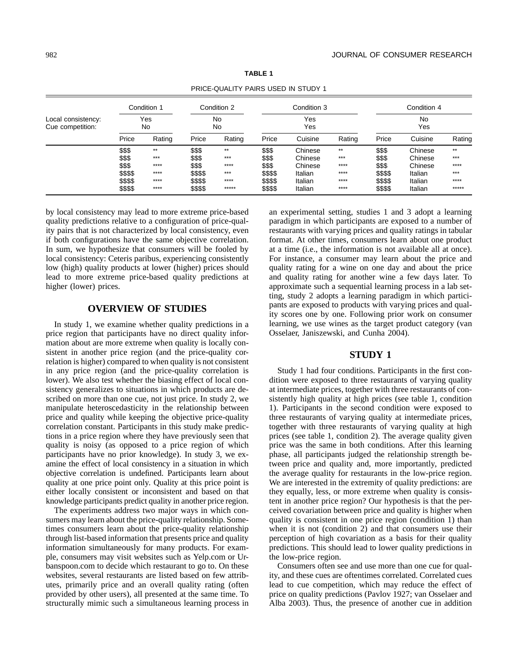|                                        |                          |        |                         |        |                           | PRICE-QUALITY PAIRS USED IN STUDY 1 |        |                          |         |        |
|----------------------------------------|--------------------------|--------|-------------------------|--------|---------------------------|-------------------------------------|--------|--------------------------|---------|--------|
|                                        | Condition 1<br>Yes<br>No |        | Condition 2<br>No<br>No |        | Condition 3<br>Yes<br>Yes |                                     |        | Condition 4<br>No<br>Yes |         |        |
| Local consistency:<br>Cue competition: |                          |        |                         |        |                           |                                     |        |                          |         |        |
|                                        | Price                    | Rating | Price                   | Rating | Price                     | Cuisine                             | Rating | Price                    | Cuisine | Rating |
|                                        | \$\$\$                   | $**$   | \$\$\$                  | **     | \$\$\$                    | Chinese                             | $**$   | \$\$\$                   | Chinese | $**$   |
|                                        | \$\$\$                   | $***$  | \$\$\$                  | ***    | \$\$\$                    | Chinese                             | ***    | \$\$\$                   | Chinese | ***    |
|                                        | \$\$\$                   | ****   | \$\$\$                  | ****   | \$\$\$                    | Chinese                             | ****   | \$\$\$                   | Chinese | ****   |
|                                        | \$\$\$\$                 | ****   | \$\$\$\$                | ***    | \$\$\$\$                  | Italian                             | ****   | \$\$\$\$                 | Italian | ***    |
|                                        | \$\$\$\$                 | ****   | \$\$\$\$                | ****   | \$\$\$\$                  | Italian                             | ****   | \$\$\$\$                 | Italian | ****   |
|                                        | \$\$\$\$                 | ****   | \$\$\$\$                | *****  | \$\$\$\$                  | Italian                             | ****   | \$\$\$\$                 | Italian | *****  |

**TABLE 1**

by local consistency may lead to more extreme price-based quality predictions relative to a configuration of price-quality pairs that is not characterized by local consistency, even if both configurations have the same objective correlation. In sum, we hypothesize that consumers will be fooled by local consistency: Ceteris paribus, experiencing consistently low (high) quality products at lower (higher) prices should lead to more extreme price-based quality predictions at higher (lower) prices.

# **OVERVIEW OF STUDIES**

In study 1, we examine whether quality predictions in a price region that participants have no direct quality information about are more extreme when quality is locally consistent in another price region (and the price-quality correlation is higher) compared to when quality is not consistent in any price region (and the price-quality correlation is lower). We also test whether the biasing effect of local consistency generalizes to situations in which products are described on more than one cue, not just price. In study 2, we manipulate heteroscedasticity in the relationship between price and quality while keeping the objective price-quality correlation constant. Participants in this study make predictions in a price region where they have previously seen that quality is noisy (as opposed to a price region of which participants have no prior knowledge). In study 3, we examine the effect of local consistency in a situation in which objective correlation is undefined. Participants learn about quality at one price point only. Quality at this price point is either locally consistent or inconsistent and based on that knowledge participants predict quality in another price region.

The experiments address two major ways in which consumers may learn about the price-quality relationship. Sometimes consumers learn about the price-quality relationship through list-based information that presents price and quality information simultaneously for many products. For example, consumers may visit websites such as [Yelp.com](http://www.Yelp.com) or [Ur](http://www.urbanspoon.com)[banspoon.com](http://www.urbanspoon.com) to decide which restaurant to go to. On these websites, several restaurants are listed based on few attributes, primarily price and an overall quality rating (often provided by other users), all presented at the same time. To structurally mimic such a simultaneous learning process in an experimental setting, studies 1 and 3 adopt a learning paradigm in which participants are exposed to a number of restaurants with varying prices and quality ratings in tabular format. At other times, consumers learn about one product at a time (i.e., the information is not available all at once). For instance, a consumer may learn about the price and quality rating for a wine on one day and about the price and quality rating for another wine a few days later. To approximate such a sequential learning process in a lab setting, study 2 adopts a learning paradigm in which participants are exposed to products with varying prices and quality scores one by one. Following prior work on consumer learning, we use wines as the target product category (van Osselaer, Janiszewski, and Cunha 2004).

# **STUDY 1**

Study 1 had four conditions. Participants in the first condition were exposed to three restaurants of varying quality at intermediate prices, together with three restaurants of consistently high quality at high prices (see table 1, condition 1). Participants in the second condition were exposed to three restaurants of varying quality at intermediate prices, together with three restaurants of varying quality at high prices (see table 1, condition 2). The average quality given price was the same in both conditions. After this learning phase, all participants judged the relationship strength between price and quality and, more importantly, predicted the average quality for restaurants in the low-price region. We are interested in the extremity of quality predictions: are they equally, less, or more extreme when quality is consistent in another price region? Our hypothesis is that the perceived covariation between price and quality is higher when quality is consistent in one price region (condition 1) than when it is not (condition 2) and that consumers use their perception of high covariation as a basis for their quality predictions. This should lead to lower quality predictions in the low-price region.

Consumers often see and use more than one cue for quality, and these cues are oftentimes correlated. Correlated cues lead to cue competition, which may reduce the effect of price on quality predictions (Pavlov 1927; van Osselaer and Alba 2003). Thus, the presence of another cue in addition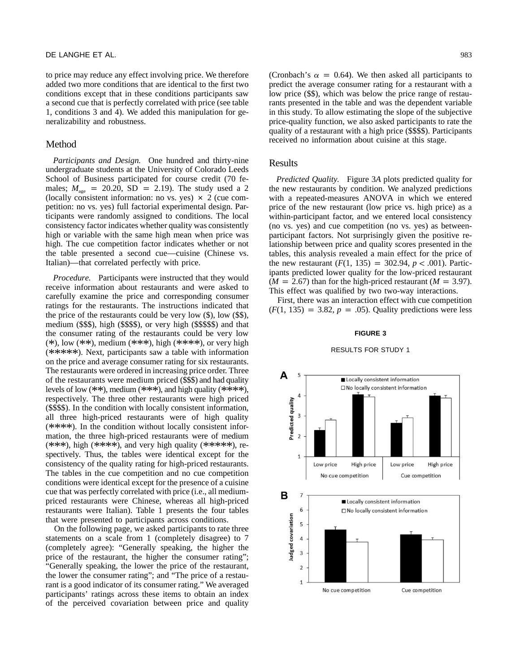to price may reduce any effect involving price. We therefore added two more conditions that are identical to the first two conditions except that in these conditions participants saw a second cue that is perfectly correlated with price (see table 1, conditions 3 and 4). We added this manipulation for generalizability and robustness.

# Method

*Participants and Design.* One hundred and thirty-nine undergraduate students at the University of Colorado Leeds School of Business participated for course credit (70 females;  $M_{\text{age}} = 20.20$ , SD = 2.19). The study used a 2 (locally consistent information: no vs. yes)  $\times$  2 (cue competition: no vs. yes) full factorial experimental design. Participants were randomly assigned to conditions. The local consistency factor indicates whether quality was consistently high or variable with the same high mean when price was high. The cue competition factor indicates whether or not the table presented a second cue—cuisine (Chinese vs. Italian)—that correlated perfectly with price.

*Procedure.* Participants were instructed that they would receive information about restaurants and were asked to carefully examine the price and corresponding consumer ratings for the restaurants. The instructions indicated that the price of the restaurants could be very low  $(\$)$ , low  $(\$)$ , medium (\$\$\$), high (\$\$\$\$), or very high (\$\$\$\$\$) and that the consumer rating of the restaurants could be very low  $(*), \text{low } (**,), \text{medium } (***), \text{high } (****,), \text{or very high}$ (\*\*\*\*\*). Next, participants saw a table with information on the price and average consumer rating for six restaurants. The restaurants were ordered in increasing price order. Three of the restaurants were medium priced (\$\$\$) and had quality levels of low  $(**)$ , medium  $(***)$ , and high quality  $(****)$ , respectively. The three other restaurants were high priced (\$\$\$\$). In the condition with locally consistent information, all three high-priced restaurants were of high quality (\*\*\*\*). In the condition without locally consistent information, the three high-priced restaurants were of medium  $(****)$ , high  $(****)$ , and very high quality  $(******)$ , respectively. Thus, the tables were identical except for the consistency of the quality rating for high-priced restaurants. The tables in the cue competition and no cue competition conditions were identical except for the presence of a cuisine cue that was perfectly correlated with price (i.e., all mediumpriced restaurants were Chinese, whereas all high-priced restaurants were Italian). Table 1 presents the four tables that were presented to participants across conditions.

On the following page, we asked participants to rate three statements on a scale from 1 (completely disagree) to 7 (completely agree): "Generally speaking, the higher the price of the restaurant, the higher the consumer rating"; "Generally speaking, the lower the price of the restaurant, the lower the consumer rating"; and "The price of a restaurant is a good indicator of its consumer rating." We averaged participants' ratings across these items to obtain an index of the perceived covariation between price and quality (Cronbach's  $\alpha = 0.64$ ). We then asked all participants to predict the average consumer rating for a restaurant with a low price (\$\$), which was below the price range of restaurants presented in the table and was the dependent variable in this study. To allow estimating the slope of the subjective price-quality function, we also asked participants to rate the quality of a restaurant with a high price (\$\$\$\$). Participants received no information about cuisine at this stage.

# Results

*Predicted Quality.* Figure 3*A* plots predicted quality for the new restaurants by condition. We analyzed predictions with a repeated-measures ANOVA in which we entered price of the new restaurant (low price vs. high price) as a within-participant factor, and we entered local consistency (no vs. yes) and cue competition (no vs. yes) as betweenparticipant factors. Not surprisingly given the positive relationship between price and quality scores presented in the tables, this analysis revealed a main effect for the price of the new restaurant  $(F(1, 135) = 302.94, p < .001)$ . Participants predicted lower quality for the low-priced restaurant  $(M = 2.67)$  than for the high-priced restaurant  $(M = 3.97)$ . This effect was qualified by two two-way interactions.

First, there was an interaction effect with cue competition  $(F(1, 135) = 3.82, p = .05)$ . Quality predictions were less

#### **FIGURE 3**

#### A 5 Locally consistent information □ No locally consistent information  $\Delta$ Predicted quality  $\overline{3}$  $\overline{2}$  $\mathbf{1}$ Low price High price Low price High price Cue competition No cue competition B  $\overline{7}$ Locally consistent information 6 □ No locally consistent information Judged covariation 5  $\overline{a}$ 3  $\overline{\mathbf{z}}$  $\mathbf{1}$ Cue competition No cue competition

# RESULTS FOR STUDY 1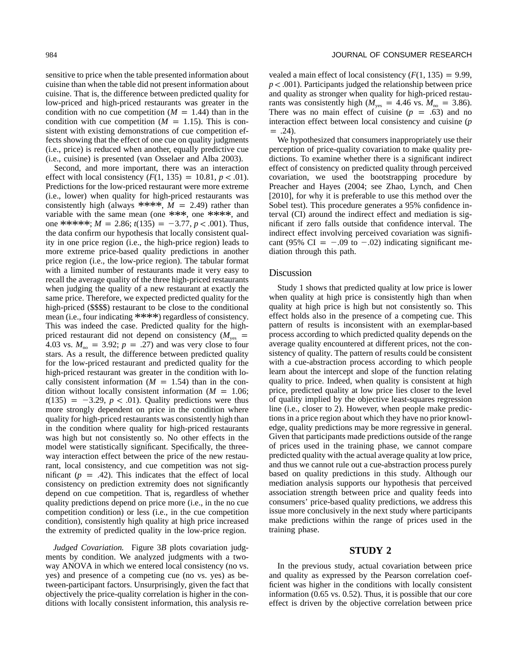sensitive to price when the table presented information about cuisine than when the table did not present information about cuisine. That is, the difference between predicted quality for low-priced and high-priced restaurants was greater in the condition with no cue competition  $(M = 1.44)$  than in the condition with cue competition  $(M = 1.15)$ . This is consistent with existing demonstrations of cue competition effects showing that the effect of one cue on quality judgments (i.e., price) is reduced when another, equally predictive cue (i.e., cuisine) is presented (van Osselaer and Alba 2003).

Second, and more important, there was an interaction effect with local consistency  $(F(1, 135) = 10.81, p < .01)$ . Predictions for the low-priced restaurant were more extreme (i.e., lower) when quality for high-priced restaurants was consistently high (always \*\*\*\*,  $\overline{M} = 2.49$ ) rather than variable with the same mean (one \*\*\*, one \*\*\*\*, and one \*\*\*\*\*;  $M = 2.86$ ;  $t(135) = -3.77$ ,  $p < .001$ ). Thus, the data confirm our hypothesis that locally consistent quality in one price region (i.e., the high-price region) leads to more extreme price-based quality predictions in another price region (i.e., the low-price region). The tabular format with a limited number of restaurants made it very easy to recall the average quality of the three high-priced restaurants when judging the quality of a new restaurant at exactly the same price. Therefore, we expected predicted quality for the high-priced (\$\$\$\$) restaurant to be close to the conditional mean (i.e., four indicating \*\*\*\*) regardless of consistency. This was indeed the case. Predicted quality for the highpriced restaurant did not depend on consistency  $(M_{\text{ves}} =$ 4.03 vs.  $M_{\text{no}} = 3.92$ ;  $p = .27$ ) and was very close to four stars. As a result, the difference between predicted quality for the low-priced restaurant and predicted quality for the high-priced restaurant was greater in the condition with locally consistent information  $(M = 1.54)$  than in the condition without locally consistent information  $(M = 1.06;$  $t(135) = -3.29$ ,  $p < .01$ ). Quality predictions were thus more strongly dependent on price in the condition where quality for high-priced restaurants was consistently high than in the condition where quality for high-priced restaurants was high but not consistently so. No other effects in the model were statistically significant. Specifically, the threeway interaction effect between the price of the new restaurant, local consistency, and cue competition was not significant  $(p = .42)$ . This indicates that the effect of local consistency on prediction extremity does not significantly depend on cue competition. That is, regardless of whether quality predictions depend on price more (i.e., in the no cue competition condition) or less (i.e., in the cue competition condition), consistently high quality at high price increased the extremity of predicted quality in the low-price region.

*Judged Covariation.* Figure 3*B* plots covariation judgments by condition. We analyzed judgments with a twoway ANOVA in which we entered local consistency (no vs. yes) and presence of a competing cue (no vs. yes) as between-participant factors. Unsurprisingly, given the fact that objectively the price-quality correlation is higher in the conditions with locally consistent information, this analysis revealed a main effect of local consistency  $(F(1, 135) = 9.99,$  $p < .001$ ). Participants judged the relationship between price and quality as stronger when quality for high-priced restaurants was consistently high ( $M_{\text{yes}} = 4.46$  vs.  $M_{\text{no}} = 3.86$ ). There was no main effect of cuisine  $(p = .63)$  and no interaction effect between local consistency and cuisine (*p*  $= .24$ ).

We hypothesized that consumers inappropriately use their perception of price-quality covariation to make quality predictions. To examine whether there is a significant indirect effect of consistency on predicted quality through perceived covariation, we used the bootstrapping procedure by Preacher and Hayes (2004; see Zhao, Lynch, and Chen [2010], for why it is preferable to use this method over the Sobel test). This procedure generates a 95% confidence interval (CI) around the indirect effect and mediation is significant if zero falls outside that confidence interval. The indirect effect involving perceived covariation was significant (95% CI =  $-.09$  to  $-.02$ ) indicating significant mediation through this path.

#### Discussion

Study 1 shows that predicted quality at low price is lower when quality at high price is consistently high than when quality at high price is high but not consistently so. This effect holds also in the presence of a competing cue. This pattern of results is inconsistent with an exemplar-based process according to which predicted quality depends on the average quality encountered at different prices, not the consistency of quality. The pattern of results could be consistent with a cue-abstraction process according to which people learn about the intercept and slope of the function relating quality to price. Indeed, when quality is consistent at high price, predicted quality at low price lies closer to the level of quality implied by the objective least-squares regression line (i.e., closer to 2). However, when people make predictions in a price region about which they have no prior knowledge, quality predictions may be more regressive in general. Given that participants made predictions outside of the range of prices used in the training phase, we cannot compare predicted quality with the actual average quality at low price, and thus we cannot rule out a cue-abstraction process purely based on quality predictions in this study. Although our mediation analysis supports our hypothesis that perceived association strength between price and quality feeds into consumers' price-based quality predictions, we address this issue more conclusively in the next study where participants make predictions within the range of prices used in the training phase.

# **STUDY 2**

In the previous study, actual covariation between price and quality as expressed by the Pearson correlation coefficient was higher in the conditions with locally consistent information (0.65 vs. 0.52). Thus, it is possible that our core effect is driven by the objective correlation between price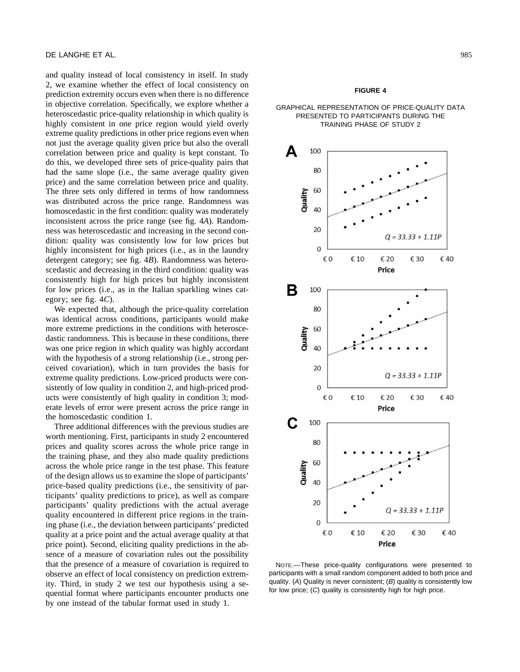and quality instead of local consistency in itself. In study 2, we examine whether the effect of local consistency on prediction extremity occurs even when there is no difference in objective correlation. Specifically, we explore whether a heteroscedastic price-quality relationship in which quality is highly consistent in one price region would yield overly extreme quality predictions in other price regions even when not just the average quality given price but also the overall correlation between price and quality is kept constant. To do this, we developed three sets of price-quality pairs that had the same slope (i.e., the same average quality given price) and the same correlation between price and quality. The three sets only differed in terms of how randomness was distributed across the price range. Randomness was homoscedastic in the first condition: quality was moderately inconsistent across the price range (see fig. 4*A*). Randomness was heteroscedastic and increasing in the second condition: quality was consistently low for low prices but highly inconsistent for high prices (i.e., as in the laundry detergent category; see fig. 4*B*). Randomness was heteroscedastic and decreasing in the third condition: quality was consistently high for high prices but highly inconsistent for low prices (i.e., as in the Italian sparkling wines category; see fig. 4*C*).

We expected that, although the price-quality correlation was identical across conditions, participants would make more extreme predictions in the conditions with heteroscedastic randomness. This is because in these conditions, there was one price region in which quality was highly accordant with the hypothesis of a strong relationship (i.e., strong perceived covariation), which in turn provides the basis for extreme quality predictions. Low-priced products were consistently of low quality in condition 2, and high-priced products were consistently of high quality in condition 3; moderate levels of error were present across the price range in the homoscedastic condition 1.

Three additional differences with the previous studies are worth mentioning. First, participants in study 2 encountered prices and quality scores across the whole price range in the training phase, and they also made quality predictions across the whole price range in the test phase. This feature of the design allows us to examine the slope of participants' price-based quality predictions (i.e., the sensitivity of participants' quality predictions to price), as well as compare participants' quality predictions with the actual average quality encountered in different price regions in the training phase (i.e., the deviation between participants' predicted quality at a price point and the actual average quality at that price point). Second, eliciting quality predictions in the absence of a measure of covariation rules out the possibility that the presence of a measure of covariation is required to observe an effect of local consistency on prediction extremity. Third, in study 2 we test our hypothesis using a sequential format where participants encounter products one by one instead of the tabular format used in study 1.

#### **FIGURE 4**

#### GRAPHICAL REPRESENTATION OF PRICE-QUALITY DATA PRESENTED TO PARTICIPANTS DURING THE TRAINING PHASE OF STUDY 2



NOTE.—These price-quality configurations were presented to participants with a small random component added to both price and quality. (*A*) Quality is never consistent; (*B*) quality is consistently low for low price; (*C*) quality is consistently high for high price.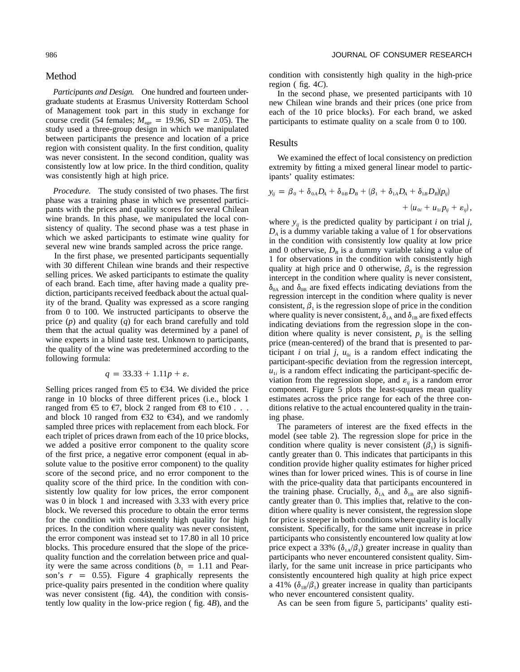# Method

*Participants and Design.* One hundred and fourteen undergraduate students at Erasmus University Rotterdam School of Management took part in this study in exchange for course credit (54 females;  $M_{\text{age}} = 19.96$ , SD = 2.05). The study used a three-group design in which we manipulated between participants the presence and location of a price region with consistent quality. In the first condition, quality was never consistent. In the second condition, quality was consistently low at low price. In the third condition, quality was consistently high at high price.

*Procedure.* The study consisted of two phases. The first phase was a training phase in which we presented participants with the prices and quality scores for several Chilean wine brands. In this phase, we manipulated the local consistency of quality. The second phase was a test phase in which we asked participants to estimate wine quality for several new wine brands sampled across the price range.

In the first phase, we presented participants sequentially with 30 different Chilean wine brands and their respective selling prices. We asked participants to estimate the quality of each brand. Each time, after having made a quality prediction, participants received feedback about the actual quality of the brand. Quality was expressed as a score ranging from 0 to 100. We instructed participants to observe the price (*p*) and quality (*q*) for each brand carefully and told them that the actual quality was determined by a panel of wine experts in a blind taste test. Unknown to participants, the quality of the wine was predetermined according to the following formula:

$$
q = 33.33 + 1.11p + \varepsilon.
$$

Selling prices ranged from  $\epsilon$ 5 to  $\epsilon$ 34. We divided the price range in 10 blocks of three different prices (i.e., block 1 ranged from  $\epsilon$ 5 to  $\epsilon$ 7, block 2 ranged from  $\epsilon$ 8 to  $\epsilon$ 10 . . . and block 10 ranged from  $\epsilon$ 32 to  $\epsilon$ 34), and we randomly sampled three prices with replacement from each block. For each triplet of prices drawn from each of the 10 price blocks, we added a positive error component to the quality score of the first price, a negative error component (equal in absolute value to the positive error component) to the quality score of the second price, and no error component to the quality score of the third price. In the condition with consistently low quality for low prices, the error component was 0 in block 1 and increased with 3.33 with every price block. We reversed this procedure to obtain the error terms for the condition with consistently high quality for high prices. In the condition where quality was never consistent, the error component was instead set to 17.80 in all 10 price blocks. This procedure ensured that the slope of the pricequality function and the correlation between price and quality were the same across conditions ( $b_1 = 1.11$  and Pearson's  $r = 0.55$ ). Figure 4 graphically represents the price-quality pairs presented in the condition where quality was never consistent (fig. 4*A*), the condition with consistently low quality in the low-price region ( fig. 4*B*), and the

condition with consistently high quality in the high-price region ( fig. 4*C*).

In the second phase, we presented participants with 10 new Chilean wine brands and their prices (one price from each of the 10 price blocks). For each brand, we asked participants to estimate quality on a scale from 0 to 100.

# Results

We examined the effect of local consistency on prediction extremity by fitting a mixed general linear model to participants' quality estimates:

$$
y_{ij} = \beta_0 + \delta_{0A}D_A + \delta_{0B}D_B + (\beta_1 + \delta_{1A}D_A + \delta_{1B}D_B)(p_{ij})
$$
  
+  $(u_{0i} + u_{1i}p_{ij} + \varepsilon_{ij}),$ 

where  $y_{ij}$  is the predicted quality by participant *i* on trial *j*,  $D_A$  is a dummy variable taking a value of 1 for observations in the condition with consistently low quality at low price and 0 otherwise,  $D<sub>B</sub>$  is a dummy variable taking a value of 1 for observations in the condition with consistently high quality at high price and 0 otherwise,  $\beta_0$  is the regression intercept in the condition where quality is never consistent,  $\delta_{0A}$  and  $\delta_{0B}$  are fixed effects indicating deviations from the regression intercept in the condition where quality is never consistent,  $\beta_1$  is the regression slope of price in the condition where quality is never consistent,  $\delta_{1A}$  and  $\delta_{1B}$  are fixed effects indicating deviations from the regression slope in the condition where quality is never consistent,  $p_{ii}$  is the selling price (mean-centered) of the brand that is presented to participant *i* on trial *j*,  $u_{0i}$  is a random effect indicating the participant-specific deviation from the regression intercept,  $u_{1i}$  is a random effect indicating the participant-specific deviation from the regression slope, and  $\varepsilon_{ij}$  is a random error component. Figure 5 plots the least-squares mean quality estimates across the price range for each of the three conditions relative to the actual encountered quality in the training phase.

The parameters of interest are the fixed effects in the model (see table 2). The regression slope for price in the condition where quality is never consistent  $(\beta_1)$  is significantly greater than 0. This indicates that participants in this condition provide higher quality estimates for higher priced wines than for lower priced wines. This is of course in line with the price-quality data that participants encountered in the training phase. Crucially,  $\delta_{1A}$  and  $\delta_{1B}$  are also significantly greater than 0. This implies that, relative to the condition where quality is never consistent, the regression slope for price is steeper in both conditions where quality is locally consistent. Specifically, for the same unit increase in price participants who consistently encountered low quality at low price expect a 33%  $(\delta_{1A}/\beta_1)$  greater increase in quality than participants who never encountered consistent quality. Similarly, for the same unit increase in price participants who consistently encountered high quality at high price expect a 41% ( $\delta_{1B}/\beta_1$ ) greater increase in quality than participants who never encountered consistent quality.

As can be seen from figure 5, participants' quality esti-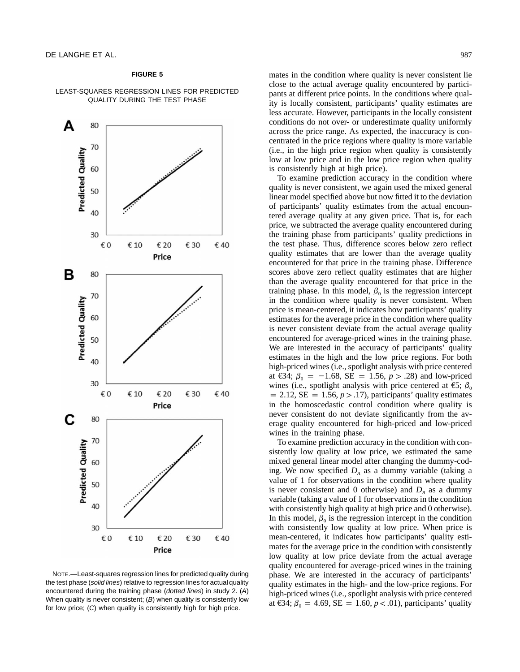## **FIGURE 5**

LEAST-SQUARES REGRESSION LINES FOR PREDICTED QUALITY DURING THE TEST PHASE



NOTE.—Least-squares regression lines for predicted quality during the test phase (*solid lines*) relative to regression lines for actual quality encountered during the training phase (*dotted lines*) in study 2. (*A*) When quality is never consistent; (*B*) when quality is consistently low for low price; (*C*) when quality is consistently high for high price.

mates in the condition where quality is never consistent lie close to the actual average quality encountered by participants at different price points. In the conditions where quality is locally consistent, participants' quality estimates are less accurate. However, participants in the locally consistent conditions do not over- or underestimate quality uniformly across the price range. As expected, the inaccuracy is concentrated in the price regions where quality is more variable (i.e., in the high price region when quality is consistently low at low price and in the low price region when quality is consistently high at high price).

To examine prediction accuracy in the condition where quality is never consistent, we again used the mixed general linear model specified above but now fitted it to the deviation of participants' quality estimates from the actual encountered average quality at any given price. That is, for each price, we subtracted the average quality encountered during the training phase from participants' quality predictions in the test phase. Thus, difference scores below zero reflect quality estimates that are lower than the average quality encountered for that price in the training phase. Difference scores above zero reflect quality estimates that are higher than the average quality encountered for that price in the training phase. In this model,  $\beta_0$  is the regression intercept in the condition where quality is never consistent. When price is mean-centered, it indicates how participants' quality estimates for the average price in the condition where quality is never consistent deviate from the actual average quality encountered for average-priced wines in the training phase. We are interested in the accuracy of participants' quality estimates in the high and the low price regions. For both high-priced wines (i.e., spotlight analysis with price centered at  $\text{\textsterling}34$ ;  $\beta_0 = -1.68$ , SE = 1.56, *p* > .28) and low-priced wines (i.e., spotlight analysis with price centered at  $\epsilon$ 5;  $\beta_0$  $p = 2.12$ , SE = 1.56,  $p > .17$ ), participants' quality estimates in the homoscedastic control condition where quality is never consistent do not deviate significantly from the average quality encountered for high-priced and low-priced wines in the training phase.

To examine prediction accuracy in the condition with consistently low quality at low price, we estimated the same mixed general linear model after changing the dummy-coding. We now specified  $D_A$  as a dummy variable (taking a value of 1 for observations in the condition where quality is never consistent and 0 otherwise) and  $D<sub>B</sub>$  as a dummy variable (taking a value of 1 for observations in the condition with consistently high quality at high price and 0 otherwise). In this model,  $\beta_0$  is the regression intercept in the condition with consistently low quality at low price. When price is mean-centered, it indicates how participants' quality estimates for the average price in the condition with consistently low quality at low price deviate from the actual average quality encountered for average-priced wines in the training phase. We are interested in the accuracy of participants' quality estimates in the high- and the low-price regions. For high-priced wines (i.e., spotlight analysis with price centered at  $\text{\textsterling}34$ ;  $\beta_0 = 4.69$ , SE = 1.60, *p* < .01), participants' quality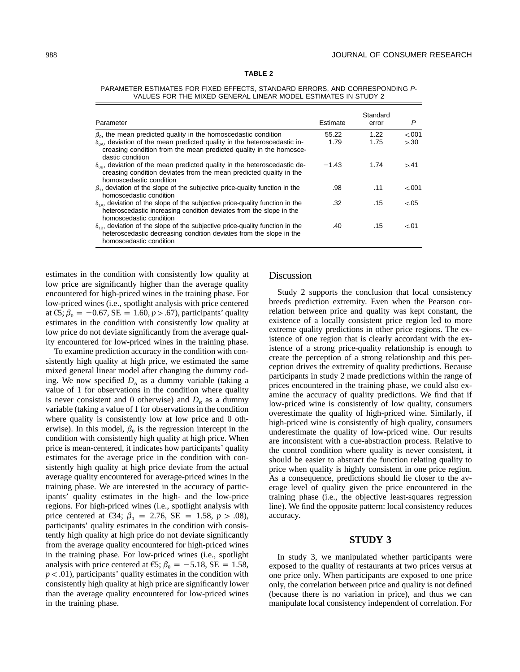#### **TABLE 2**

PARAMETER ESTIMATES FOR FIXED EFFECTS, STANDARD ERRORS, AND CORRESPONDING *P*-VALUES FOR THE MIXED GENERAL LINEAR MODEL ESTIMATES IN STUDY 2

| Parameter                                                                                                                                                                                                                                             | Estimate      | Standard<br>error | P              |
|-------------------------------------------------------------------------------------------------------------------------------------------------------------------------------------------------------------------------------------------------------|---------------|-------------------|----------------|
| $\beta_0$ , the mean predicted quality in the homoscedastic condition<br>$\delta_{04}$ , deviation of the mean predicted quality in the heteroscedastic in-<br>creasing condition from the mean predicted quality in the homosce-<br>dastic condition | 55.22<br>1.79 | 1.22<br>1.75      | $-.001$<br>>30 |
| $\delta_{\rm OR}$ , deviation of the mean predicted quality in the heteroscedastic de-<br>creasing condition deviates from the mean predicted quality in the<br>homoscedastic condition                                                               | $-1.43$       | 1.74              | >41            |
| $\beta_1$ , deviation of the slope of the subjective price-quality function in the<br>homoscedastic condition                                                                                                                                         | .98           | .11               | < 001          |
| $\delta_{14}$ , deviation of the slope of the subjective price-quality function in the<br>heteroscedastic increasing condition deviates from the slope in the<br>homoscedastic condition                                                              | .32           | .15               | $-.05$         |
| $\delta_{\text{IB}}$ , deviation of the slope of the subjective price-quality function in the<br>heteroscedastic decreasing condition deviates from the slope in the<br>homoscedastic condition                                                       | .40           | .15               | < 0.01         |

estimates in the condition with consistently low quality at low price are significantly higher than the average quality encountered for high-priced wines in the training phase. For low-priced wines (i.e., spotlight analysis with price centered at  $\epsilon$ 5;  $\beta$ <sub>0</sub> = -0.67, SE = 1.60, *p* > .67), participants' quality estimates in the condition with consistently low quality at low price do not deviate significantly from the average quality encountered for low-priced wines in the training phase.

To examine prediction accuracy in the condition with consistently high quality at high price, we estimated the same mixed general linear model after changing the dummy coding. We now specified  $D_A$  as a dummy variable (taking a value of 1 for observations in the condition where quality is never consistent and 0 otherwise) and  $D<sub>B</sub>$  as a dummy variable (taking a value of 1 for observations in the condition where quality is consistently low at low price and 0 otherwise). In this model,  $\beta_0$  is the regression intercept in the condition with consistently high quality at high price. When price is mean-centered, it indicates how participants' quality estimates for the average price in the condition with consistently high quality at high price deviate from the actual average quality encountered for average-priced wines in the training phase. We are interested in the accuracy of participants' quality estimates in the high- and the low-price regions. For high-priced wines (i.e., spotlight analysis with price centered at  $\epsilon$ 34;  $\beta_0 = 2.76$ , SE = 1.58, *p* > .08), participants' quality estimates in the condition with consistently high quality at high price do not deviate significantly from the average quality encountered for high-priced wines in the training phase. For low-priced wines (i.e., spotlight analysis with price centered at  $\epsilon$ 5;  $\beta_0 = -5.18$ , SE = 1.58,  $p < .01$ ), participants' quality estimates in the condition with consistently high quality at high price are significantly lower than the average quality encountered for low-priced wines in the training phase.

# **Discussion**

Study 2 supports the conclusion that local consistency breeds prediction extremity. Even when the Pearson correlation between price and quality was kept constant, the existence of a locally consistent price region led to more extreme quality predictions in other price regions. The existence of one region that is clearly accordant with the existence of a strong price-quality relationship is enough to create the perception of a strong relationship and this perception drives the extremity of quality predictions. Because participants in study 2 made predictions within the range of prices encountered in the training phase, we could also examine the accuracy of quality predictions. We find that if low-priced wine is consistently of low quality, consumers overestimate the quality of high-priced wine. Similarly, if high-priced wine is consistently of high quality, consumers underestimate the quality of low-priced wine. Our results are inconsistent with a cue-abstraction process. Relative to the control condition where quality is never consistent, it should be easier to abstract the function relating quality to price when quality is highly consistent in one price region. As a consequence, predictions should lie closer to the average level of quality given the price encountered in the training phase (i.e., the objective least-squares regression line). We find the opposite pattern: local consistency reduces accuracy.

#### **STUDY 3**

In study 3, we manipulated whether participants were exposed to the quality of restaurants at two prices versus at one price only. When participants are exposed to one price only, the correlation between price and quality is not defined (because there is no variation in price), and thus we can manipulate local consistency independent of correlation. For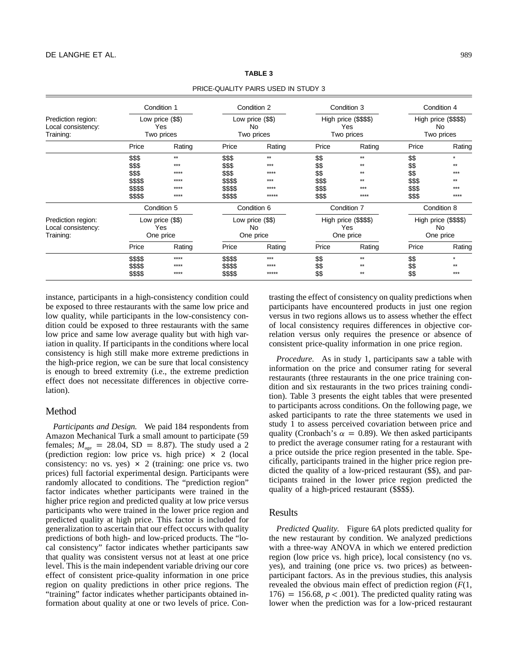|                                                       |                                                      |                      |                                                     | PRICE-QUALITY PAIRS USED IN STUDY 3 |                                                           |                      |                                                          |                   |  |
|-------------------------------------------------------|------------------------------------------------------|----------------------|-----------------------------------------------------|-------------------------------------|-----------------------------------------------------------|----------------------|----------------------------------------------------------|-------------------|--|
|                                                       | Condition 1<br>Low price (\$\$)<br>Yes<br>Two prices |                      | Condition 2<br>Low price (\$\$)<br>No<br>Two prices |                                     | Condition 3<br>High price (\$\$\$\$)<br>Yes<br>Two prices |                      | Condition 4<br>High price (\$\$\$\$)<br>No<br>Two prices |                   |  |
| Prediction region:<br>Local consistency:<br>Training: |                                                      |                      |                                                     |                                     |                                                           |                      |                                                          |                   |  |
|                                                       | Price                                                | Rating               | Price                                               | Rating                              | Price                                                     | Rating               | Price                                                    | Rating            |  |
|                                                       | \$\$\$                                               | $**$<br>***          | \$\$\$                                              | $**$<br>***                         | \$\$                                                      | $**$<br>$***$        | \$\$                                                     | $\bullet$<br>$**$ |  |
|                                                       | \$\$\$<br>\$\$\$                                     | ****                 | \$\$\$<br>\$\$\$                                    | ****                                | \$\$<br>\$\$                                              | $**$                 | \$\$<br>\$\$                                             | ***               |  |
|                                                       | \$\$\$\$<br>\$\$\$\$                                 | ****<br>****         | \$\$\$\$<br>\$\$\$\$                                | ***<br>****                         | \$\$\$<br>\$\$\$                                          | $**$<br>***          | \$\$\$<br>\$\$\$                                         | $**$<br>***       |  |
|                                                       | \$\$\$\$                                             | ****                 | \$\$\$\$                                            | *****                               | \$\$\$                                                    | ****                 | \$\$\$                                                   | ****              |  |
|                                                       |                                                      | Condition 5          |                                                     | Condition 6                         |                                                           | Condition 7          |                                                          | Condition 8       |  |
| Prediction region:<br>Local consistency:<br>Training: | Low price (\$\$)<br>Yes<br>One price                 |                      | Low price (\$\$)<br>No<br>One price                 |                                     | High price (\$\$\$\$)<br>Yes<br>One price                 |                      | High price (\$\$\$\$)<br><b>No</b><br>One price          |                   |  |
|                                                       | Price                                                | Rating               | Price                                               | Rating                              | Price                                                     | Rating               | Price                                                    | Rating            |  |
|                                                       | \$\$\$\$<br>\$\$\$\$<br>\$\$\$\$                     | ****<br>****<br>**** | \$\$\$\$<br>\$\$\$\$<br>\$\$\$\$                    | ***<br>****<br>*****                | \$\$<br>\$\$<br>\$\$                                      | $**$<br>$**$<br>$**$ | \$\$<br>\$\$<br>\$\$                                     | ***               |  |

**TABLE 3**

instance, participants in a high-consistency condition could be exposed to three restaurants with the same low price and low quality, while participants in the low-consistency condition could be exposed to three restaurants with the same low price and same low average quality but with high variation in quality. If participants in the conditions where local consistency is high still make more extreme predictions in the high-price region, we can be sure that local consistency is enough to breed extremity (i.e., the extreme prediction effect does not necessitate differences in objective correlation).

# Method

*Participants and Design.* We paid 184 respondents from Amazon Mechanical Turk a small amount to participate (59 females;  $M_{\text{age}} = 28.04$ , SD = 8.87). The study used a 2 (prediction region: low price vs. high price)  $\times$  2 (local consistency: no vs. yes)  $\times$  2 (training: one price vs. two prices) full factorial experimental design. Participants were randomly allocated to conditions. The "prediction region" factor indicates whether participants were trained in the higher price region and predicted quality at low price versus participants who were trained in the lower price region and predicted quality at high price. This factor is included for generalization to ascertain that our effect occurs with quality predictions of both high- and low-priced products. The "local consistency" factor indicates whether participants saw that quality was consistent versus not at least at one price level. This is the main independent variable driving our core effect of consistent price-quality information in one price region on quality predictions in other price regions. The "training" factor indicates whether participants obtained information about quality at one or two levels of price. Contrasting the effect of consistency on quality predictions when participants have encountered products in just one region versus in two regions allows us to assess whether the effect of local consistency requires differences in objective correlation versus only requires the presence or absence of consistent price-quality information in one price region.

*Procedure.* As in study 1, participants saw a table with information on the price and consumer rating for several restaurants (three restaurants in the one price training condition and six restaurants in the two prices training condition). Table 3 presents the eight tables that were presented to participants across conditions. On the following page, we asked participants to rate the three statements we used in study 1 to assess perceived covariation between price and quality (Cronbach's  $\alpha = 0.89$ ). We then asked participants to predict the average consumer rating for a restaurant with a price outside the price region presented in the table. Specifically, participants trained in the higher price region predicted the quality of a low-priced restaurant (\$\$), and participants trained in the lower price region predicted the quality of a high-priced restaurant (\$\$\$\$).

# Results

*Predicted Quality.* Figure 6*A* plots predicted quality for the new restaurant by condition. We analyzed predictions with a three-way ANOVA in which we entered prediction region (low price vs. high price), local consistency (no vs. yes), and training (one price vs. two prices) as betweenparticipant factors. As in the previous studies, this analysis revealed the obvious main effect of prediction region (*F*(1,  $176$ ) = 156.68,  $p < .001$ ). The predicted quality rating was lower when the prediction was for a low-priced restaurant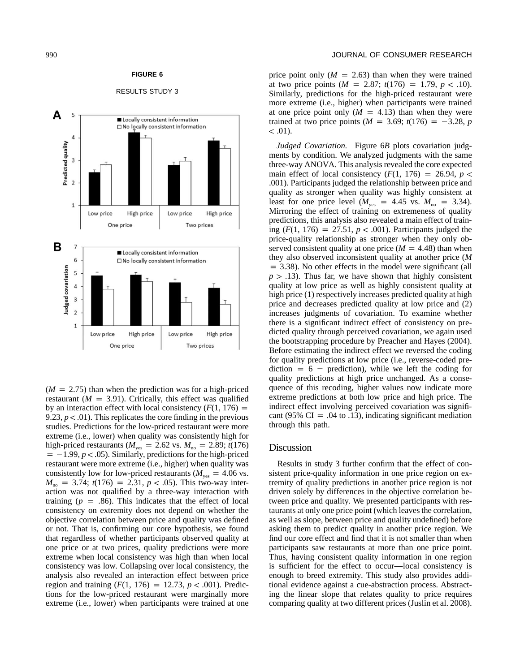# **FIGURE 6**

#### RESULTS STUDY 3



 $(M = 2.75)$  than when the prediction was for a high-priced restaurant ( $M = 3.91$ ). Critically, this effect was qualified by an interaction effect with local consistency  $(F(1, 176) =$ 9.23,  $p < .01$ ). This replicates the core finding in the previous studies. Predictions for the low-priced restaurant were more extreme (i.e., lower) when quality was consistently high for high-priced restaurants ( $M_{\text{ves}} = 2.62$  vs.  $M_{\text{no}} = 2.89$ ; *t*(176)  $= -1.99, p < .05$ ). Similarly, predictions for the high-priced restaurant were more extreme (i.e., higher) when quality was consistently low for low-priced restaurants ( $M_{\text{yes}} = 4.06$  vs.  $M_{\text{no}} = 3.74$ ;  $t(176) = 2.31$ ,  $p < .05$ ). This two-way interaction was not qualified by a three-way interaction with training  $(p = .86)$ . This indicates that the effect of local consistency on extremity does not depend on whether the objective correlation between price and quality was defined or not. That is, confirming our core hypothesis, we found that regardless of whether participants observed quality at one price or at two prices, quality predictions were more extreme when local consistency was high than when local consistency was low. Collapsing over local consistency, the analysis also revealed an interaction effect between price region and training  $(F(1, 176) = 12.73, p < .001)$ . Predictions for the low-priced restaurant were marginally more extreme (i.e., lower) when participants were trained at one

price point only  $(M = 2.63)$  than when they were trained at two price points  $(M = 2.87; t(176) = 1.79, p < .10)$ . Similarly, predictions for the high-priced restaurant were more extreme (i.e., higher) when participants were trained at one price point only  $(M = 4.13)$  than when they were trained at two price points ( $M = 3.69$ ;  $t(176) = -3.28$ , *p*  $< .01$ ).

*Judged Covariation.* Figure 6*B* plots covariation judgments by condition. We analyzed judgments with the same three-way ANOVA. This analysis revealed the core expected main effect of local consistency  $(F(1, 176) = 26.94, p <$ .001). Participants judged the relationship between price and quality as stronger when quality was highly consistent at least for one price level ( $M_{yes} = 4.45$  vs.  $M_{no} = 3.34$ ). Mirroring the effect of training on extremeness of quality predictions, this analysis also revealed a main effect of training  $(F(1, 176) = 27.51, p < .001)$ . Participants judged the price-quality relationship as stronger when they only observed consistent quality at one price  $(M = 4.48)$  than when they also observed inconsistent quality at another price (*M*  $=$  3.38). No other effects in the model were significant (all  $p > .13$ ). Thus far, we have shown that highly consistent quality at low price as well as highly consistent quality at high price (1) respectively increases predicted quality at high price and decreases predicted quality at low price and (2) increases judgments of covariation. To examine whether there is a significant indirect effect of consistency on predicted quality through perceived covariation, we again used the bootstrapping procedure by Preacher and Hayes (2004). Before estimating the indirect effect we reversed the coding for quality predictions at low price (i.e., reverse-coded prediction  $= 6$  – prediction), while we left the coding for quality predictions at high price unchanged. As a consequence of this recoding, higher values now indicate more extreme predictions at both low price and high price. The indirect effect involving perceived covariation was significant (95% CI = .04 to .13), indicating significant mediation through this path.

# Discussion

Results in study 3 further confirm that the effect of consistent price-quality information in one price region on extremity of quality predictions in another price region is not driven solely by differences in the objective correlation between price and quality. We presented participants with restaurants at only one price point (which leaves the correlation, as well as slope, between price and quality undefined) before asking them to predict quality in another price region. We find our core effect and find that it is not smaller than when participants saw restaurants at more than one price point. Thus, having consistent quality information in one region is sufficient for the effect to occur—local consistency is enough to breed extremity. This study also provides additional evidence against a cue-abstraction process. Abstracting the linear slope that relates quality to price requires comparing quality at two different prices (Juslin et al. 2008).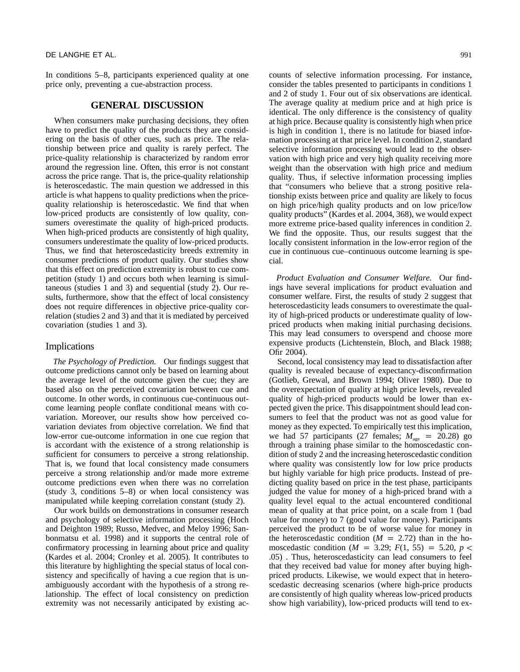In conditions 5–8, participants experienced quality at one price only, preventing a cue-abstraction process.

# **GENERAL DISCUSSION**

When consumers make purchasing decisions, they often have to predict the quality of the products they are considering on the basis of other cues, such as price. The relationship between price and quality is rarely perfect. The price-quality relationship is characterized by random error around the regression line. Often, this error is not constant across the price range. That is, the price-quality relationship is heteroscedastic. The main question we addressed in this article is what happens to quality predictions when the pricequality relationship is heteroscedastic. We find that when low-priced products are consistently of low quality, consumers overestimate the quality of high-priced products. When high-priced products are consistently of high quality, consumers underestimate the quality of low-priced products. Thus, we find that heteroscedasticity breeds extremity in consumer predictions of product quality. Our studies show that this effect on prediction extremity is robust to cue competition (study 1) and occurs both when learning is simultaneous (studies 1 and 3) and sequential (study 2). Our results, furthermore, show that the effect of local consistency does not require differences in objective price-quality correlation (studies 2 and 3) and that it is mediated by perceived covariation (studies 1 and 3).

# Implications

*The Psychology of Prediction.* Our findings suggest that outcome predictions cannot only be based on learning about the average level of the outcome given the cue; they are based also on the perceived covariation between cue and outcome. In other words, in continuous cue-continuous outcome learning people conflate conditional means with covariation. Moreover, our results show how perceived covariation deviates from objective correlation. We find that low-error cue-outcome information in one cue region that is accordant with the existence of a strong relationship is sufficient for consumers to perceive a strong relationship. That is, we found that local consistency made consumers perceive a strong relationship and/or made more extreme outcome predictions even when there was no correlation (study 3, conditions 5–8) or when local consistency was manipulated while keeping correlation constant (study 2).

Our work builds on demonstrations in consumer research and psychology of selective information processing (Hoch and Deighton 1989; Russo, Medvec, and Meloy 1996; Sanbonmatsu et al. 1998) and it supports the central role of confirmatory processing in learning about price and quality (Kardes et al. 2004; Cronley et al. 2005). It contributes to this literature by highlighting the special status of local consistency and specifically of having a cue region that is unambiguously accordant with the hypothesis of a strong relationship. The effect of local consistency on prediction extremity was not necessarily anticipated by existing accounts of selective information processing. For instance, consider the tables presented to participants in conditions 1 and 2 of study 1. Four out of six observations are identical. The average quality at medium price and at high price is identical. The only difference is the consistency of quality at high price. Because quality is consistently high when price is high in condition 1, there is no latitude for biased information processing at that price level. In condition 2, standard selective information processing would lead to the observation with high price and very high quality receiving more weight than the observation with high price and medium quality. Thus, if selective information processing implies that "consumers who believe that a strong positive relationship exists between price and quality are likely to focus on high price/high quality products and on low price/low quality products" (Kardes et al. 2004, 368), we would expect more extreme price-based quality inferences in condition 2. We find the opposite. Thus, our results suggest that the locally consistent information in the low-error region of the cue in continuous cue–continuous outcome learning is special.

*Product Evaluation and Consumer Welfare.* Our findings have several implications for product evaluation and consumer welfare. First, the results of study 2 suggest that heteroscedasticity leads consumers to overestimate the quality of high-priced products or underestimate quality of lowpriced products when making initial purchasing decisions. This may lead consumers to overspend and choose more expensive products (Lichtenstein, Bloch, and Black 1988; Ofir 2004).

Second, local consistency may lead to dissatisfaction after quality is revealed because of expectancy-disconfirmation (Gotlieb, Grewal, and Brown 1994; Oliver 1980). Due to the overexpectation of quality at high price levels, revealed quality of high-priced products would be lower than expected given the price. This disappointment should lead consumers to feel that the product was not as good value for money as they expected. To empirically test this implication, we had 57 participants (27 females;  $M_{\text{age}} = 20.28$ ) go through a training phase similar to the homoscedastic condition of study 2 and the increasing heteroscedastic condition where quality was consistently low for low price products but highly variable for high price products. Instead of predicting quality based on price in the test phase, participants judged the value for money of a high-priced brand with a quality level equal to the actual encountered conditional mean of quality at that price point, on a scale from 1 (bad value for money) to 7 (good value for money). Participants perceived the product to be of worse value for money in the heteroscedastic condition  $(M = 2.72)$  than in the homoscedastic condition ( $M = 3.29$ ;  $F(1, 55) = 5.20$ ,  $p <$ .05) . Thus, heteroscedasticity can lead consumers to feel that they received bad value for money after buying highpriced products. Likewise, we would expect that in heteroscedastic decreasing scenarios (where high-price products are consistently of high quality whereas low-priced products show high variability), low-priced products will tend to ex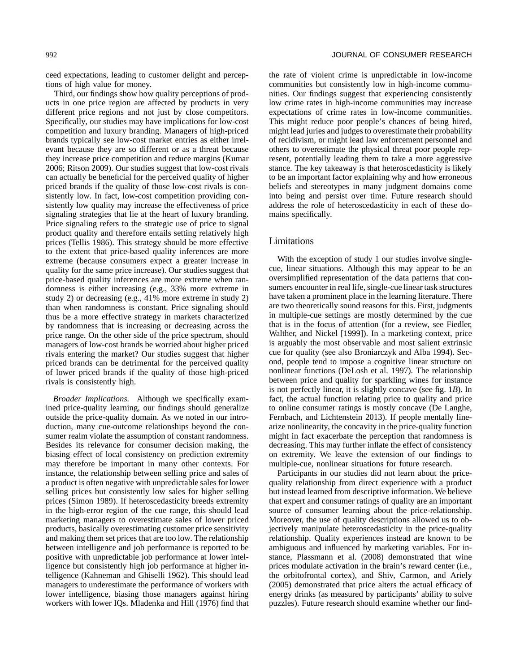ceed expectations, leading to customer delight and perceptions of high value for money.

Third, our findings show how quality perceptions of products in one price region are affected by products in very different price regions and not just by close competitors. Specifically, our studies may have implications for low-cost competition and luxury branding. Managers of high-priced brands typically see low-cost market entries as either irrelevant because they are so different or as a threat because they increase price competition and reduce margins (Kumar 2006; Ritson 2009). Our studies suggest that low-cost rivals can actually be beneficial for the perceived quality of higher priced brands if the quality of those low-cost rivals is consistently low. In fact, low-cost competition providing consistently low quality may increase the effectiveness of price signaling strategies that lie at the heart of luxury branding. Price signaling refers to the strategic use of price to signal product quality and therefore entails setting relatively high prices (Tellis 1986). This strategy should be more effective to the extent that price-based quality inferences are more extreme (because consumers expect a greater increase in quality for the same price increase). Our studies suggest that price-based quality inferences are more extreme when randomness is either increasing (e.g., 33% more extreme in study 2) or decreasing (e.g., 41% more extreme in study 2) than when randomness is constant. Price signaling should thus be a more effective strategy in markets characterized by randomness that is increasing or decreasing across the price range. On the other side of the price spectrum, should managers of low-cost brands be worried about higher priced rivals entering the market? Our studies suggest that higher priced brands can be detrimental for the perceived quality of lower priced brands if the quality of those high-priced rivals is consistently high.

*Broader Implications.* Although we specifically examined price-quality learning, our findings should generalize outside the price-quality domain. As we noted in our introduction, many cue-outcome relationships beyond the consumer realm violate the assumption of constant randomness. Besides its relevance for consumer decision making, the biasing effect of local consistency on prediction extremity may therefore be important in many other contexts. For instance, the relationship between selling price and sales of a product is often negative with unpredictable sales for lower selling prices but consistently low sales for higher selling prices (Simon 1989). If heteroscedasticity breeds extremity in the high-error region of the cue range, this should lead marketing managers to overestimate sales of lower priced products, basically overestimating customer price sensitivity and making them set prices that are too low. The relationship between intelligence and job performance is reported to be positive with unpredictable job performance at lower intelligence but consistently high job performance at higher intelligence (Kahneman and Ghiselli 1962). This should lead managers to underestimate the performance of workers with lower intelligence, biasing those managers against hiring workers with lower IQs. Mladenka and Hill (1976) find that the rate of violent crime is unpredictable in low-income communities but consistently low in high-income communities. Our findings suggest that experiencing consistently low crime rates in high-income communities may increase expectations of crime rates in low-income communities. This might reduce poor people's chances of being hired, might lead juries and judges to overestimate their probability of recidivism, or might lead law enforcement personnel and others to overestimate the physical threat poor people represent, potentially leading them to take a more aggressive stance. The key takeaway is that heteroscedasticity is likely to be an important factor explaining why and how erroneous beliefs and stereotypes in many judgment domains come into being and persist over time. Future research should address the role of heteroscedasticity in each of these domains specifically.

#### Limitations

With the exception of study 1 our studies involve singlecue, linear situations. Although this may appear to be an oversimplified representation of the data patterns that consumers encounter in real life, single-cue linear task structures have taken a prominent place in the learning literature. There are two theoretically sound reasons for this. First, judgments in multiple-cue settings are mostly determined by the cue that is in the focus of attention (for a review, see Fiedler, Walther, and Nickel [1999]). In a marketing context, price is arguably the most observable and most salient extrinsic cue for quality (see also Broniarczyk and Alba 1994). Second, people tend to impose a cognitive linear structure on nonlinear functions (DeLosh et al. 1997). The relationship between price and quality for sparkling wines for instance is not perfectly linear, it is slightly concave (see fig. 1*B*). In fact, the actual function relating price to quality and price to online consumer ratings is mostly concave (De Langhe, Fernbach, and Lichtenstein 2013). If people mentally linearize nonlinearity, the concavity in the price-quality function might in fact exacerbate the perception that randomness is decreasing. This may further inflate the effect of consistency on extremity. We leave the extension of our findings to multiple-cue, nonlinear situations for future research.

Participants in our studies did not learn about the pricequality relationship from direct experience with a product but instead learned from descriptive information. We believe that expert and consumer ratings of quality are an important source of consumer learning about the price-relationship. Moreover, the use of quality descriptions allowed us to objectively manipulate heteroscedasticity in the price-quality relationship. Quality experiences instead are known to be ambiguous and influenced by marketing variables. For instance, Plassmann et al. (2008) demonstrated that wine prices modulate activation in the brain's reward center (i.e., the orbitofrontal cortex), and Shiv, Carmon, and Ariely (2005) demonstrated that price alters the actual efficacy of energy drinks (as measured by participants' ability to solve puzzles). Future research should examine whether our find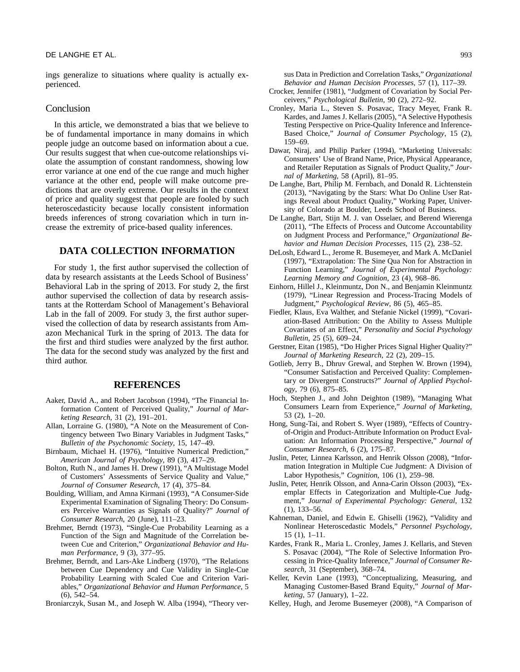ings generalize to situations where quality is actually experienced.

# Conclusion

In this article, we demonstrated a bias that we believe to be of fundamental importance in many domains in which people judge an outcome based on information about a cue. Our results suggest that when cue-outcome relationships violate the assumption of constant randomness, showing low error variance at one end of the cue range and much higher variance at the other end, people will make outcome predictions that are overly extreme. Our results in the context of price and quality suggest that people are fooled by such heteroscedasticity because locally consistent information breeds inferences of strong covariation which in turn increase the extremity of price-based quality inferences.

# **DATA COLLECTION INFORMATION**

For study 1, the first author supervised the collection of data by research assistants at the Leeds School of Business' Behavioral Lab in the spring of 2013. For study 2, the first author supervised the collection of data by research assistants at the Rotterdam School of Management's Behavioral Lab in the fall of 2009. For study 3, the first author supervised the collection of data by research assistants from Amazon Mechanical Turk in the spring of 2013. The data for the first and third studies were analyzed by the first author. The data for the second study was analyzed by the first and third author.

# **REFERENCES**

- Aaker, David A., and Robert Jacobson (1994), "The Financial Information Content of Perceived Quality," *Journal of Marketing Research*, 31 (2), 191–201.
- Allan, Lorraine G. (1980), "A Note on the Measurement of Contingency between Two Binary Variables in Judgment Tasks,' *Bulletin of the Psychonomic Society*, 15, 147–49.
- Birnbaum, Michael H. (1976), "Intuitive Numerical Prediction," *American Journal of Psychology*, 89 (3), 417–29.
- Bolton, Ruth N., and James H. Drew (1991), "A Multistage Model of Customers' Assessments of Service Quality and Value," *Journal of Consumer Research*, 17 (4), 375–84.
- Boulding, William, and Amna Kirmani (1993), "A Consumer-Side Experimental Examination of Signaling Theory: Do Consumers Perceive Warranties as Signals of Quality?" *Journal of Consumer Research*, 20 (June), 111–23.
- Brehmer, Berndt (1973), "Single-Cue Probability Learning as a Function of the Sign and Magnitude of the Correlation between Cue and Criterion," *Organizational Behavior and Human Performance*, 9 (3), 377–95.
- Brehmer, Berndt, and Lars-Ake Lindberg (1970), "The Relations between Cue Dependency and Cue Validity in Single-Cue Probability Learning with Scaled Cue and Criterion Variables," *Organizational Behavior and Human Performance*, 5 (6), 542–54.
- Broniarczyk, Susan M., and Joseph W. Alba (1994), "Theory ver-

sus Data in Prediction and Correlation Tasks," *Organizational Behavior and Human Decision Processes*, 57 (1), 117–39.

- Crocker, Jennifer (1981), "Judgment of Covariation by Social Perceivers," *Psychological Bulletin*, 90 (2), 272–92.
- Cronley, Maria L., Steven S. Posavac, Tracy Meyer, Frank R. Kardes, and James J. Kellaris (2005), "A Selective Hypothesis Testing Perspective on Price-Quality Inference and Inference-Based Choice," *Journal of Consumer Psychology*, 15 (2), 159–69.
- Dawar, Niraj, and Philip Parker (1994), "Marketing Universals: Consumers' Use of Brand Name, Price, Physical Appearance, and Retailer Reputation as Signals of Product Quality," *Journal of Marketing*, 58 (April), 81–95.
- De Langhe, Bart, Philip M. Fernbach, and Donald R. Lichtenstein (2013), "Navigating by the Stars: What Do Online User Ratings Reveal about Product Quality," Working Paper, University of Colorado at Boulder, Leeds School of Business.
- De Langhe, Bart, Stijn M. J. van Osselaer, and Berend Wierenga (2011), "The Effects of Process and Outcome Accountability on Judgment Process and Performance," *Organizational Behavior and Human Decision Processes*, 115 (2), 238–52.
- DeLosh, Edward L., Jerome R. Busemeyer, and Mark A. McDaniel (1997), "Extrapolation: The Sine Qua Non for Abstraction in Function Learning," *Journal of Experimental Psychology: Learning Memory and Cognition*, 23 (4), 968–86.
- Einhorn, Hillel J., Kleinmuntz, Don N., and Benjamin Kleinmuntz (1979), "Linear Regression and Process-Tracing Models of Judgment," *Psychological Review*, 86 (5), 465–85.
- Fiedler, Klaus, Eva Walther, and Stefanie Nickel (1999), "Covariation-Based Attribution: On the Ability to Assess Multiple Covariates of an Effect," *Personality and Social Psychology Bulletin*, 25 (5), 609–24.
- Gerstner, Eitan (1985), "Do Higher Prices Signal Higher Quality?" *Journal of Marketing Research*, 22 (2), 209–15.
- Gotlieb, Jerry B., Dhruv Grewal, and Stephen W. Brown (1994), "Consumer Satisfaction and Perceived Quality: Complementary or Divergent Constructs?" *Journal of Applied Psychology*, 79 (6), 875–85.
- Hoch, Stephen J., and John Deighton (1989), "Managing What Consumers Learn from Experience," *Journal of Marketing*, 53 (2), 1–20.
- Hong, Sung-Tai, and Robert S. Wyer (1989), "Effects of Countryof-Origin and Product-Attribute Information on Product Evaluation: An Information Processing Perspective," *Journal of Consumer Research*, 6 (2), 175–87.
- Juslin, Peter, Linnea Karlsson, and Henrik Olsson (2008), "Information Integration in Multiple Cue Judgment: A Division of Labor Hypothesis," *Cognition*, 106 (1), 259–98.
- Juslin, Peter, Henrik Olsson, and Anna-Carin Olsson (2003), "Exemplar Effects in Categorization and Multiple-Cue Judgment," *Journal of Experimental Psychology: General*, 132 (1), 133–56.
- Kahneman, Daniel, and Edwin E. Ghiselli (1962), "Validity and Nonlinear Heteroscedastic Models," *Personnel Psychology*, 15 (1), 1–11.
- Kardes, Frank R., Maria L. Cronley, James J. Kellaris, and Steven S. Posavac (2004), "The Role of Selective Information Processing in Price-Quality Inference," *Journal of Consumer Research*, 31 (September), 368–74.
- Keller, Kevin Lane (1993), "Conceptualizing, Measuring, and Managing Customer-Based Brand Equity," *Journal of Marketing*, 57 (January), 1–22.
- Kelley, Hugh, and Jerome Busemeyer (2008), "A Comparison of